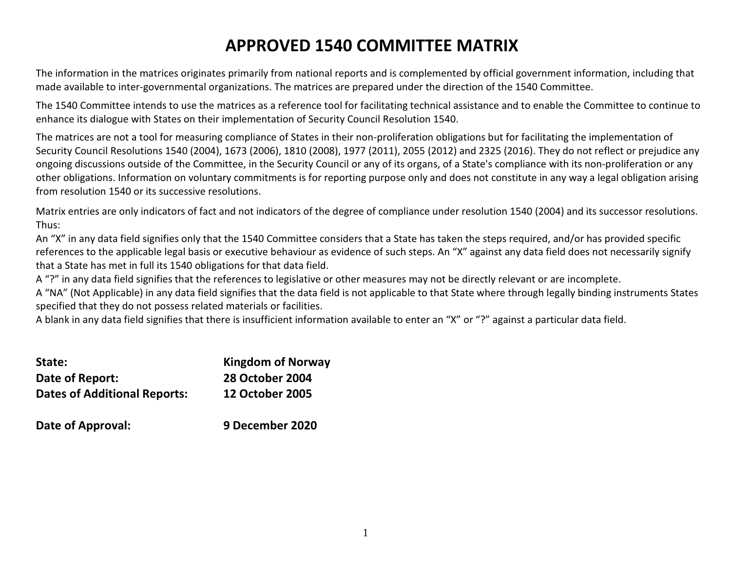# APPROVED 1540 COMMITTEE MATRIX

The information in the matrices originates primarily from national reports and is complemented by official government information, including that made available to inter-governmental organizations. The matrices are prepared under the direction of the 1540 Committee.

The 1540 Committee intends to use the matrices as a reference tool for facilitating technical assistance and to enable the Committee to continue to enhance its dialogue with States on their implementation of Security Council Resolution 1540.

The matrices are not a tool for measuring compliance of States in their non-proliferation obligations but for facilitating the implementation of Security Council Resolutions 1540 (2004), 1673 (2006), 1810 (2008), 1977 (2011), 2055 (2012) and 2325 (2016). They do not reflect or prejudice any ongoing discussions outside of the Committee, in the Security Council or any of its organs, of a State's compliance with its non-proliferation or any other obligations. Information on voluntary commitments is for reporting purpose only and does not constitute in any way a legal obligation arising from resolution 1540 or its successive resolutions.

Matrix entries are only indicators of fact and not indicators of the degree of compliance under resolution 1540 (2004) and its successor resolutions. Thus:

An "X" in any data field signifies only that the 1540 Committee considers that a State has taken the steps required, and/or has provided specific references to the applicable legal basis or executive behaviour as evidence of such steps. An "X" against any data field does not necessarily signify that a State has met in full its 1540 obligations for that data field.

A "?" in any data field signifies that the references to legislative or other measures may not be directly relevant or are incomplete.

A "NA" (Not Applicable) in any data field signifies that the data field is not applicable to that State where through legally binding instruments States specified that they do not possess related materials or facilities.

A blank in any data field signifies that there is insufficient information available to enter an "X" or "?" against a particular data field.

| State:                              | <b>Kingdom of Norway</b> |
|-------------------------------------|--------------------------|
| Date of Report:                     | <b>28 October 2004</b>   |
| <b>Dates of Additional Reports:</b> | <b>12 October 2005</b>   |
| Date of Approval:                   | 9 December 2020          |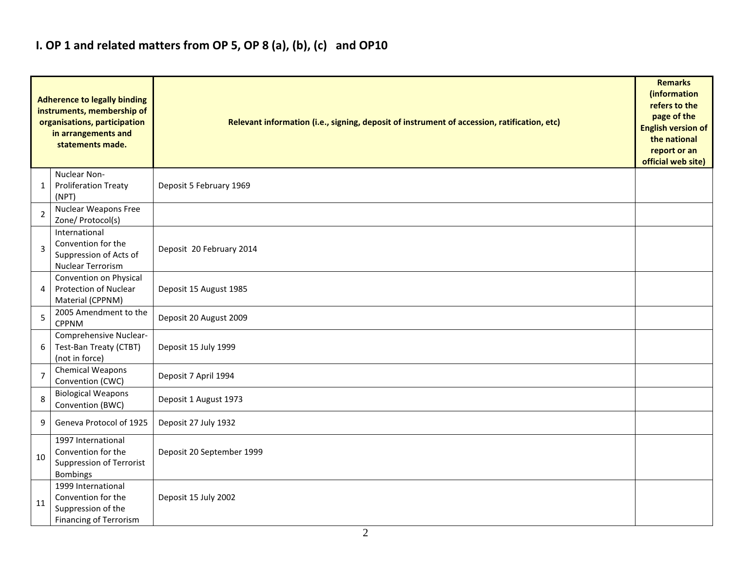#### I. OP 1 and related matters from OP 5, OP 8 (a), (b), (c) and OP10

|                | <b>Adherence to legally binding</b><br>instruments, membership of<br>organisations, participation<br>in arrangements and<br>statements made. | Relevant information (i.e., signing, deposit of instrument of accession, ratification, etc) |  |  |  |  |  |  |  |  |
|----------------|----------------------------------------------------------------------------------------------------------------------------------------------|---------------------------------------------------------------------------------------------|--|--|--|--|--|--|--|--|
| 1              | Nuclear Non-<br><b>Proliferation Treaty</b><br>(NPT)                                                                                         | Deposit 5 February 1969                                                                     |  |  |  |  |  |  |  |  |
| $\overline{2}$ | Nuclear Weapons Free<br>Zone/ Protocol(s)                                                                                                    |                                                                                             |  |  |  |  |  |  |  |  |
| 3              | International<br>Convention for the<br>Suppression of Acts of<br><b>Nuclear Terrorism</b>                                                    | Deposit 20 February 2014                                                                    |  |  |  |  |  |  |  |  |
| 4              | Convention on Physical<br><b>Protection of Nuclear</b><br>Material (CPPNM)                                                                   | Deposit 15 August 1985                                                                      |  |  |  |  |  |  |  |  |
| 5              | 2005 Amendment to the<br><b>CPPNM</b>                                                                                                        | Deposit 20 August 2009                                                                      |  |  |  |  |  |  |  |  |
| 6              | Comprehensive Nuclear-<br>Test-Ban Treaty (CTBT)<br>(not in force)                                                                           | Deposit 15 July 1999                                                                        |  |  |  |  |  |  |  |  |
| $\overline{7}$ | <b>Chemical Weapons</b><br>Convention (CWC)                                                                                                  | Deposit 7 April 1994                                                                        |  |  |  |  |  |  |  |  |
| 8              | <b>Biological Weapons</b><br>Convention (BWC)                                                                                                | Deposit 1 August 1973                                                                       |  |  |  |  |  |  |  |  |
| 9              | Geneva Protocol of 1925                                                                                                                      | Deposit 27 July 1932                                                                        |  |  |  |  |  |  |  |  |
| 10             | 1997 International<br>Convention for the<br><b>Suppression of Terrorist</b><br><b>Bombings</b>                                               | Deposit 20 September 1999                                                                   |  |  |  |  |  |  |  |  |
| 11             | 1999 International<br>Convention for the<br>Suppression of the<br><b>Financing of Terrorism</b>                                              | Deposit 15 July 2002                                                                        |  |  |  |  |  |  |  |  |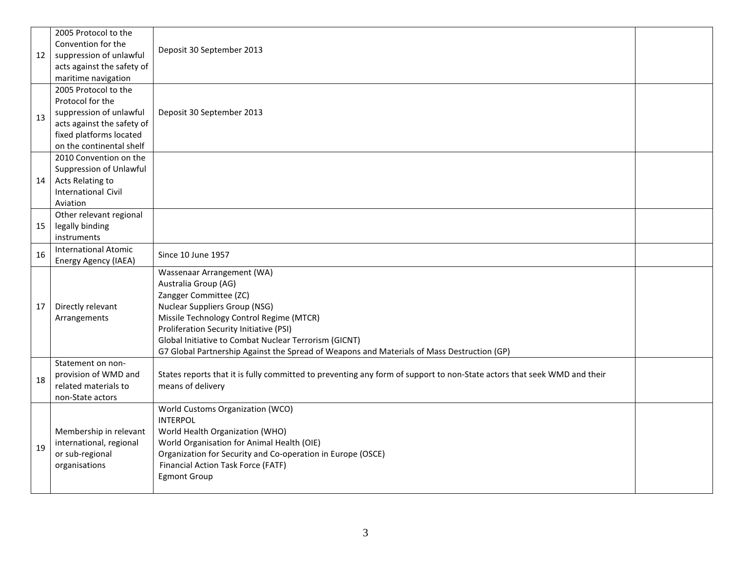|    | 2005 Protocol to the                         |                                                                                                                         |  |  |  |  |  |  |  |
|----|----------------------------------------------|-------------------------------------------------------------------------------------------------------------------------|--|--|--|--|--|--|--|
|    | Convention for the                           | Deposit 30 September 2013                                                                                               |  |  |  |  |  |  |  |
| 12 | suppression of unlawful                      |                                                                                                                         |  |  |  |  |  |  |  |
|    | acts against the safety of                   |                                                                                                                         |  |  |  |  |  |  |  |
|    | maritime navigation                          |                                                                                                                         |  |  |  |  |  |  |  |
|    | 2005 Protocol to the                         |                                                                                                                         |  |  |  |  |  |  |  |
|    | Protocol for the                             |                                                                                                                         |  |  |  |  |  |  |  |
| 13 | suppression of unlawful                      | Deposit 30 September 2013                                                                                               |  |  |  |  |  |  |  |
|    | acts against the safety of                   |                                                                                                                         |  |  |  |  |  |  |  |
|    | fixed platforms located                      |                                                                                                                         |  |  |  |  |  |  |  |
|    | on the continental shelf                     |                                                                                                                         |  |  |  |  |  |  |  |
|    | 2010 Convention on the                       |                                                                                                                         |  |  |  |  |  |  |  |
|    | Suppression of Unlawful                      |                                                                                                                         |  |  |  |  |  |  |  |
| 14 | Acts Relating to                             |                                                                                                                         |  |  |  |  |  |  |  |
|    | <b>International Civil</b>                   |                                                                                                                         |  |  |  |  |  |  |  |
|    | Aviation                                     |                                                                                                                         |  |  |  |  |  |  |  |
|    | Other relevant regional                      |                                                                                                                         |  |  |  |  |  |  |  |
| 15 | legally binding                              |                                                                                                                         |  |  |  |  |  |  |  |
|    | instruments                                  |                                                                                                                         |  |  |  |  |  |  |  |
| 16 | <b>International Atomic</b>                  | Since 10 June 1957                                                                                                      |  |  |  |  |  |  |  |
|    | Energy Agency (IAEA)                         |                                                                                                                         |  |  |  |  |  |  |  |
|    |                                              | Wassenaar Arrangement (WA)                                                                                              |  |  |  |  |  |  |  |
|    |                                              | Australia Group (AG)                                                                                                    |  |  |  |  |  |  |  |
|    |                                              | Zangger Committee (ZC)                                                                                                  |  |  |  |  |  |  |  |
| 17 | Directly relevant                            | <b>Nuclear Suppliers Group (NSG)</b>                                                                                    |  |  |  |  |  |  |  |
|    | Arrangements                                 | Missile Technology Control Regime (MTCR)                                                                                |  |  |  |  |  |  |  |
|    |                                              | Proliferation Security Initiative (PSI)                                                                                 |  |  |  |  |  |  |  |
|    |                                              | Global Initiative to Combat Nuclear Terrorism (GICNT)                                                                   |  |  |  |  |  |  |  |
|    |                                              | G7 Global Partnership Against the Spread of Weapons and Materials of Mass Destruction (GP)                              |  |  |  |  |  |  |  |
|    | Statement on non-                            |                                                                                                                         |  |  |  |  |  |  |  |
| 18 | provision of WMD and<br>related materials to | States reports that it is fully committed to preventing any form of support to non-State actors that seek WMD and their |  |  |  |  |  |  |  |
|    |                                              | means of delivery                                                                                                       |  |  |  |  |  |  |  |
|    | non-State actors                             | World Customs Organization (WCO)                                                                                        |  |  |  |  |  |  |  |
|    |                                              | <b>INTERPOL</b>                                                                                                         |  |  |  |  |  |  |  |
|    | Membership in relevant                       | World Health Organization (WHO)                                                                                         |  |  |  |  |  |  |  |
|    | international, regional                      | World Organisation for Animal Health (OIE)                                                                              |  |  |  |  |  |  |  |
| 19 | or sub-regional                              | Organization for Security and Co-operation in Europe (OSCE)                                                             |  |  |  |  |  |  |  |
|    | organisations                                | Financial Action Task Force (FATF)                                                                                      |  |  |  |  |  |  |  |
|    |                                              | <b>Egmont Group</b>                                                                                                     |  |  |  |  |  |  |  |
|    |                                              |                                                                                                                         |  |  |  |  |  |  |  |
|    |                                              |                                                                                                                         |  |  |  |  |  |  |  |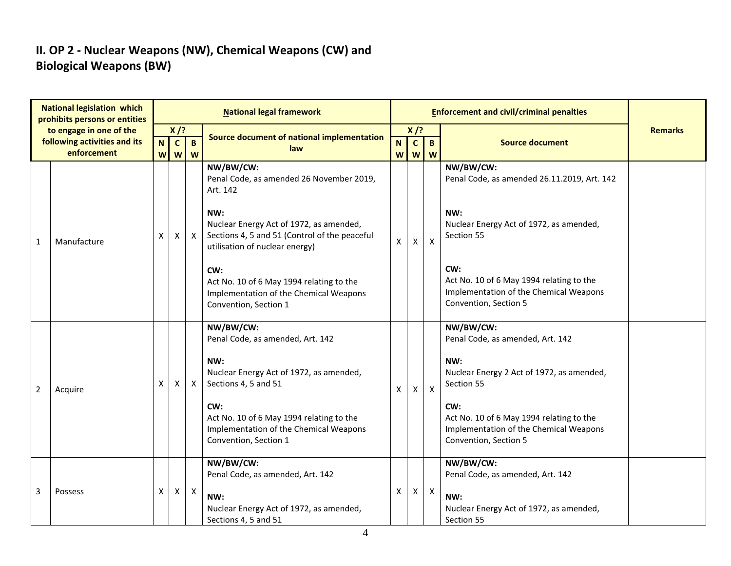### II. OP 2 - Nuclear Weapons (NW), Chemical Weapons (CW) and Biological Weapons (BW)

|                | <b>National legislation which</b><br>prohibits persons or entities |                                |                   |                          | <b>National legal framework</b>                                                                                                   |        |                |                     | <b>Enforcement and civil/criminal penalties</b>                                                                    |                |
|----------------|--------------------------------------------------------------------|--------------------------------|-------------------|--------------------------|-----------------------------------------------------------------------------------------------------------------------------------|--------|----------------|---------------------|--------------------------------------------------------------------------------------------------------------------|----------------|
|                | to engage in one of the                                            |                                | $X$ /?            |                          | Source document of national implementation                                                                                        |        | $X$ /?         |                     |                                                                                                                    | <b>Remarks</b> |
|                | following activities and its<br>enforcement                        | N<br>$\boldsymbol{\mathsf{W}}$ | $\mathbf{c}$<br>W | $\mathbf{B}$<br><b>W</b> | law                                                                                                                               | N<br>W | $\overline{c}$ | $\mathbf{B}$<br>W W | <b>Source document</b>                                                                                             |                |
|                |                                                                    |                                |                   |                          | NW/BW/CW:<br>Penal Code, as amended 26 November 2019,<br>Art. 142                                                                 |        |                |                     | NW/BW/CW:<br>Penal Code, as amended 26.11.2019, Art. 142                                                           |                |
| $\mathbf{1}$   | Manufacture                                                        | X                              | X                 | $\mathsf{X}$             | NW:<br>Nuclear Energy Act of 1972, as amended,<br>Sections 4, 5 and 51 (Control of the peaceful<br>utilisation of nuclear energy) | X      | X              | $\mathsf{x}$        | NW:<br>Nuclear Energy Act of 1972, as amended,<br>Section 55                                                       |                |
|                |                                                                    |                                |                   |                          | CW:<br>Act No. 10 of 6 May 1994 relating to the<br>Implementation of the Chemical Weapons<br>Convention, Section 1                |        |                |                     | CW:<br>Act No. 10 of 6 May 1994 relating to the<br>Implementation of the Chemical Weapons<br>Convention, Section 5 |                |
|                |                                                                    |                                |                   |                          | NW/BW/CW:<br>Penal Code, as amended, Art. 142                                                                                     |        |                |                     | NW/BW/CW:<br>Penal Code, as amended, Art. 142                                                                      |                |
| $\overline{2}$ | Acquire                                                            | X                              | Χ                 | $\mathsf{X}$             | NW:<br>Nuclear Energy Act of 1972, as amended,<br>Sections 4, 5 and 51                                                            | X      | X              | $\mathsf{X}$        | NW:<br>Nuclear Energy 2 Act of 1972, as amended,<br>Section 55                                                     |                |
|                |                                                                    |                                |                   |                          | CW:<br>Act No. 10 of 6 May 1994 relating to the<br>Implementation of the Chemical Weapons<br>Convention, Section 1                |        |                |                     | CW:<br>Act No. 10 of 6 May 1994 relating to the<br>Implementation of the Chemical Weapons<br>Convention, Section 5 |                |
|                |                                                                    |                                |                   |                          | NW/BW/CW:<br>Penal Code, as amended, Art. 142                                                                                     |        |                |                     | NW/BW/CW:<br>Penal Code, as amended, Art. 142                                                                      |                |
| 3              | Possess                                                            | X                              | X                 | $\mathsf{X}$             | NW:<br>Nuclear Energy Act of 1972, as amended,<br>Sections 4, 5 and 51                                                            | X      | X              | $\boldsymbol{X}$    | NW:<br>Nuclear Energy Act of 1972, as amended,<br>Section 55                                                       |                |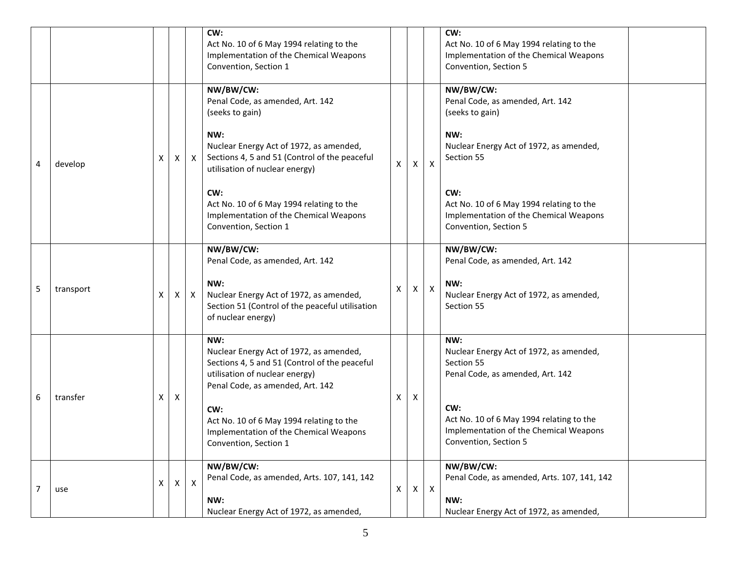|   |           |    |   |              | CW:<br>Act No. 10 of 6 May 1994 relating to the<br>Implementation of the Chemical Weapons<br>Convention, Section 1                                                    |   |   |                | CW:<br>Act No. 10 of 6 May 1994 relating to the<br>Implementation of the Chemical Weapons<br>Convention, Section 5 |
|---|-----------|----|---|--------------|-----------------------------------------------------------------------------------------------------------------------------------------------------------------------|---|---|----------------|--------------------------------------------------------------------------------------------------------------------|
|   |           |    |   |              | NW/BW/CW:<br>Penal Code, as amended, Art. 142<br>(seeks to gain)<br>NW:                                                                                               |   |   |                | NW/BW/CW:<br>Penal Code, as amended, Art. 142<br>(seeks to gain)<br>NW:                                            |
| 4 | develop   | X  | X | $\mathsf{X}$ | Nuclear Energy Act of 1972, as amended,<br>Sections 4, 5 and 51 (Control of the peaceful<br>utilisation of nuclear energy)                                            | X | X | $\pmb{\times}$ | Nuclear Energy Act of 1972, as amended,<br>Section 55                                                              |
|   |           |    |   |              | CW:<br>Act No. 10 of 6 May 1994 relating to the<br>Implementation of the Chemical Weapons<br>Convention, Section 1                                                    |   |   |                | CW:<br>Act No. 10 of 6 May 1994 relating to the<br>Implementation of the Chemical Weapons<br>Convention, Section 5 |
|   |           |    |   |              | NW/BW/CW:<br>Penal Code, as amended, Art. 142                                                                                                                         |   |   |                | NW/BW/CW:<br>Penal Code, as amended, Art. 142                                                                      |
| 5 | transport | X  | X | $\mathsf{X}$ | NW:<br>Nuclear Energy Act of 1972, as amended,<br>Section 51 (Control of the peaceful utilisation<br>of nuclear energy)                                               | Χ | X | $\mathsf{X}$   | NW:<br>Nuclear Energy Act of 1972, as amended,<br>Section 55                                                       |
|   |           |    |   |              | NW:<br>Nuclear Energy Act of 1972, as amended,<br>Sections 4, 5 and 51 (Control of the peaceful<br>utilisation of nuclear energy)<br>Penal Code, as amended, Art. 142 |   |   |                | NW:<br>Nuclear Energy Act of 1972, as amended,<br>Section 55<br>Penal Code, as amended, Art. 142                   |
| 6 | transfer  | X  | X |              | CW:<br>Act No. 10 of 6 May 1994 relating to the<br>Implementation of the Chemical Weapons<br>Convention, Section 1                                                    | х | X |                | CW:<br>Act No. 10 of 6 May 1994 relating to the<br>Implementation of the Chemical Weapons<br>Convention, Section 5 |
| 7 | use       | X. | X | $\sf X$      | NW/BW/CW:<br>Penal Code, as amended, Arts. 107, 141, 142<br>NW:                                                                                                       | X | X | $\mathsf{X}$   | NW/BW/CW:<br>Penal Code, as amended, Arts. 107, 141, 142<br>NW:                                                    |
|   |           |    |   |              | Nuclear Energy Act of 1972, as amended,                                                                                                                               |   |   |                | Nuclear Energy Act of 1972, as amended,                                                                            |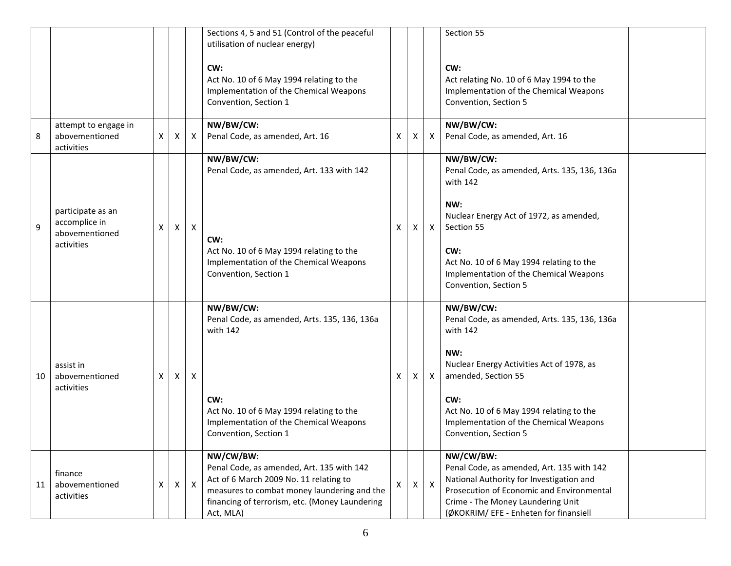|    |                                                      |   |   |              | Sections 4, 5 and 51 (Control of the peaceful<br>utilisation of nuclear energy)                                                                                                                                |                           |              |              | Section 55                                                                                                                                                                                                                     |  |
|----|------------------------------------------------------|---|---|--------------|----------------------------------------------------------------------------------------------------------------------------------------------------------------------------------------------------------------|---------------------------|--------------|--------------|--------------------------------------------------------------------------------------------------------------------------------------------------------------------------------------------------------------------------------|--|
|    |                                                      |   |   |              | CW:<br>Act No. 10 of 6 May 1994 relating to the<br>Implementation of the Chemical Weapons<br>Convention, Section 1                                                                                             |                           |              |              | CW:<br>Act relating No. 10 of 6 May 1994 to the<br>Implementation of the Chemical Weapons<br>Convention, Section 5                                                                                                             |  |
| 8  | attempt to engage in<br>abovementioned<br>activities | X | X | $\mathsf{X}$ | NW/BW/CW:<br>Penal Code, as amended, Art. 16                                                                                                                                                                   | $\boldsymbol{\mathsf{X}}$ | X            | X            | NW/BW/CW:<br>Penal Code, as amended, Art. 16                                                                                                                                                                                   |  |
|    |                                                      |   |   |              | NW/BW/CW:<br>Penal Code, as amended, Art. 133 with 142                                                                                                                                                         |                           |              |              | NW/BW/CW:<br>Penal Code, as amended, Arts. 135, 136, 136a<br>with 142                                                                                                                                                          |  |
| 9  | participate as an<br>accomplice in<br>abovementioned | x | X | X            |                                                                                                                                                                                                                | X                         | X            | X            | NW:<br>Nuclear Energy Act of 1972, as amended,<br>Section 55                                                                                                                                                                   |  |
|    | activities                                           |   |   |              | CW:<br>Act No. 10 of 6 May 1994 relating to the<br>Implementation of the Chemical Weapons<br>Convention, Section 1                                                                                             |                           |              |              | CW:<br>Act No. 10 of 6 May 1994 relating to the<br>Implementation of the Chemical Weapons<br>Convention, Section 5                                                                                                             |  |
|    |                                                      |   |   |              | NW/BW/CW:<br>Penal Code, as amended, Arts. 135, 136, 136a<br>with 142                                                                                                                                          |                           |              |              | NW/BW/CW:<br>Penal Code, as amended, Arts. 135, 136, 136a<br>with 142                                                                                                                                                          |  |
| 10 | assist in<br>abovementioned                          | X | X | X            |                                                                                                                                                                                                                | X                         | X.           | $\mathsf{X}$ | NW:<br>Nuclear Energy Activities Act of 1978, as<br>amended, Section 55                                                                                                                                                        |  |
|    | activities                                           |   |   |              | CW:<br>Act No. 10 of 6 May 1994 relating to the<br>Implementation of the Chemical Weapons<br>Convention, Section 1                                                                                             |                           |              |              | CW:<br>Act No. 10 of 6 May 1994 relating to the<br>Implementation of the Chemical Weapons<br>Convention, Section 5                                                                                                             |  |
| 11 | finance<br>abovementioned<br>activities              | X | X | $\mathsf{X}$ | NW/CW/BW:<br>Penal Code, as amended, Art. 135 with 142<br>Act of 6 March 2009 No. 11 relating to<br>measures to combat money laundering and the<br>financing of terrorism, etc. (Money Laundering<br>Act, MLA) | $\mathsf{x}$              | $\mathsf{X}$ | $\mathsf{X}$ | NW/CW/BW:<br>Penal Code, as amended, Art. 135 with 142<br>National Authority for Investigation and<br>Prosecution of Economic and Environmental<br>Crime - The Money Laundering Unit<br>(ØKOKRIM/ EFE - Enheten for finansiell |  |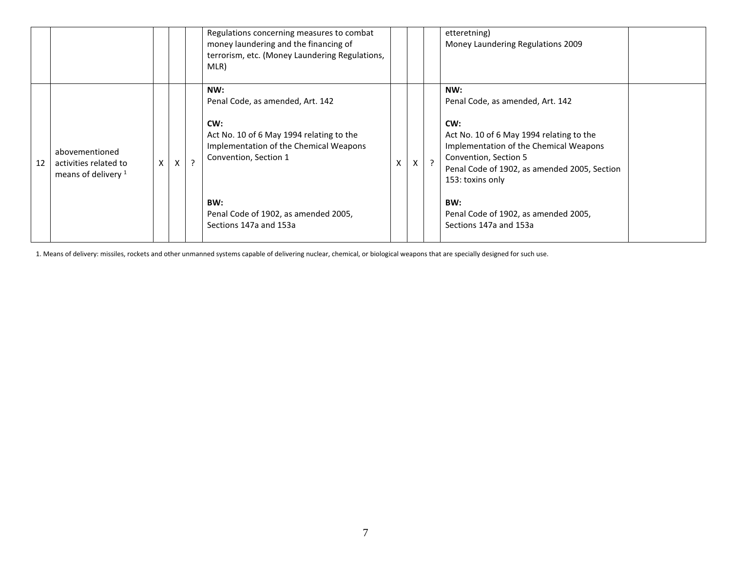|    |                                                                  |    |              | Regulations concerning measures to combat<br>money laundering and the financing of<br>terrorism, etc. (Money Laundering Regulations,<br>MLR)                  |           | etteretning)<br>Money Laundering Regulations 2009                                                                                                                                                                                 |  |
|----|------------------------------------------------------------------|----|--------------|---------------------------------------------------------------------------------------------------------------------------------------------------------------|-----------|-----------------------------------------------------------------------------------------------------------------------------------------------------------------------------------------------------------------------------------|--|
| 12 | abovementioned<br>activities related to<br>means of delivery $1$ | X. | $\mathsf{X}$ | NW:<br>Penal Code, as amended, Art. 142<br>CW:<br>Act No. 10 of 6 May 1994 relating to the<br>Implementation of the Chemical Weapons<br>Convention, Section 1 | $\lambda$ | NW:<br>Penal Code, as amended, Art. 142<br>CW:<br>Act No. 10 of 6 May 1994 relating to the<br>Implementation of the Chemical Weapons<br>Convention, Section 5<br>Penal Code of 1902, as amended 2005, Section<br>153: toxins only |  |
|    |                                                                  |    |              | BW:<br>Penal Code of 1902, as amended 2005,<br>Sections 147a and 153a                                                                                         |           | BW:<br>Penal Code of 1902, as amended 2005,<br>Sections 147a and 153a                                                                                                                                                             |  |

1. Means of delivery: missiles, rockets and other unmanned systems capable of delivering nuclear, chemical, or biological weapons that are specially designed for such use.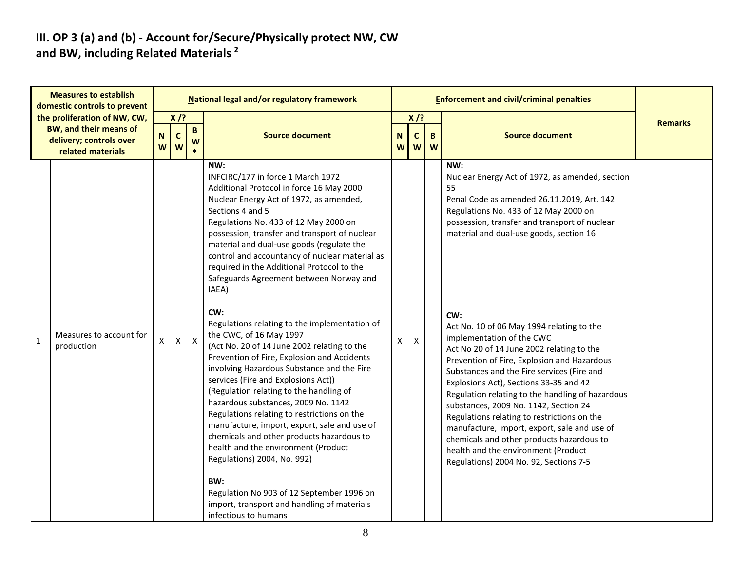### III. OP 3 (a) and (b) - Account for/Secure/Physically protect NW, CW and BW, including Related Materials<sup>2</sup>

|              | <b>Measures to establish</b><br>domestic controls to prevent                                                  |                  |                            |                   | National legal and/or regulatory framework                                                                                                                                                                                                                                                                                                                                                                                                                                                                                                                                                                                                                                                                                                                                                                                                                                                                                                                                                                                                                                                                                                          |        |                             | <b>Enforcement and civil/criminal penalties</b> |                                                                                                                                                                                                                                                                                                                                                                                                                                                                                                                                                                                                                                                                                                                                                                                                                                                |                |
|--------------|---------------------------------------------------------------------------------------------------------------|------------------|----------------------------|-------------------|-----------------------------------------------------------------------------------------------------------------------------------------------------------------------------------------------------------------------------------------------------------------------------------------------------------------------------------------------------------------------------------------------------------------------------------------------------------------------------------------------------------------------------------------------------------------------------------------------------------------------------------------------------------------------------------------------------------------------------------------------------------------------------------------------------------------------------------------------------------------------------------------------------------------------------------------------------------------------------------------------------------------------------------------------------------------------------------------------------------------------------------------------------|--------|-----------------------------|-------------------------------------------------|------------------------------------------------------------------------------------------------------------------------------------------------------------------------------------------------------------------------------------------------------------------------------------------------------------------------------------------------------------------------------------------------------------------------------------------------------------------------------------------------------------------------------------------------------------------------------------------------------------------------------------------------------------------------------------------------------------------------------------------------------------------------------------------------------------------------------------------------|----------------|
|              | the proliferation of NW, CW,<br><b>BW, and their means of</b><br>delivery; controls over<br>related materials | $\mathbf N$<br>W | $X$ /?<br>$\mathbf c$<br>W | $\mathbf{B}$<br>W | <b>Source document</b>                                                                                                                                                                                                                                                                                                                                                                                                                                                                                                                                                                                                                                                                                                                                                                                                                                                                                                                                                                                                                                                                                                                              | N<br>W | $X$ /?<br>$\mathsf{C}$<br>W | B.<br>W                                         | <b>Source document</b>                                                                                                                                                                                                                                                                                                                                                                                                                                                                                                                                                                                                                                                                                                                                                                                                                         | <b>Remarks</b> |
| $\mathbf{1}$ | Measures to account for<br>production                                                                         | $\mathsf{X}$     | $\mathsf{X}$               | $\mathsf{X}$      | NW:<br>INFCIRC/177 in force 1 March 1972<br>Additional Protocol in force 16 May 2000<br>Nuclear Energy Act of 1972, as amended,<br>Sections 4 and 5<br>Regulations No. 433 of 12 May 2000 on<br>possession, transfer and transport of nuclear<br>material and dual-use goods (regulate the<br>control and accountancy of nuclear material as<br>required in the Additional Protocol to the<br>Safeguards Agreement between Norway and<br>IAEA)<br>CW:<br>Regulations relating to the implementation of<br>the CWC, of 16 May 1997<br>(Act No. 20 of 14 June 2002 relating to the<br>Prevention of Fire, Explosion and Accidents<br>involving Hazardous Substance and the Fire<br>services (Fire and Explosions Act))<br>(Regulation relating to the handling of<br>hazardous substances, 2009 No. 1142<br>Regulations relating to restrictions on the<br>manufacture, import, export, sale and use of<br>chemicals and other products hazardous to<br>health and the environment (Product<br>Regulations) 2004, No. 992)<br>BW:<br>Regulation No 903 of 12 September 1996 on<br>import, transport and handling of materials<br>infectious to humans | X      | X                           |                                                 | NW:<br>Nuclear Energy Act of 1972, as amended, section<br>55<br>Penal Code as amended 26.11.2019, Art. 142<br>Regulations No. 433 of 12 May 2000 on<br>possession, transfer and transport of nuclear<br>material and dual-use goods, section 16<br>CW:<br>Act No. 10 of 06 May 1994 relating to the<br>implementation of the CWC<br>Act No 20 of 14 June 2002 relating to the<br>Prevention of Fire, Explosion and Hazardous<br>Substances and the Fire services (Fire and<br>Explosions Act), Sections 33-35 and 42<br>Regulation relating to the handling of hazardous<br>substances, 2009 No. 1142, Section 24<br>Regulations relating to restrictions on the<br>manufacture, import, export, sale and use of<br>chemicals and other products hazardous to<br>health and the environment (Product<br>Regulations) 2004 No. 92, Sections 7-5 |                |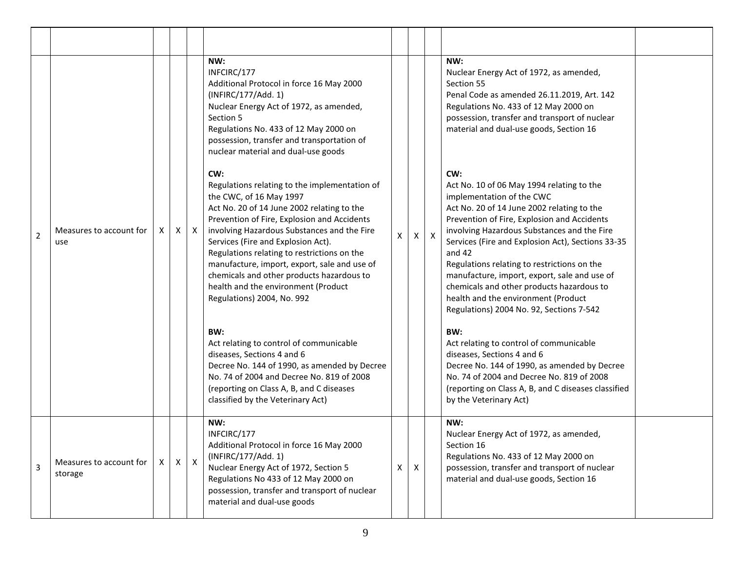| $\overline{2}$ | Measures to account for<br>use     |   | $\times$ | $\mathsf{X}$ | NW:<br>INFCIRC/177<br>Additional Protocol in force 16 May 2000<br>(INFIRC/177/Add. 1)<br>Nuclear Energy Act of 1972, as amended,<br>Section 5<br>Regulations No. 433 of 12 May 2000 on<br>possession, transfer and transportation of<br>nuclear material and dual-use goods<br>CW:<br>Regulations relating to the implementation of<br>the CWC, of 16 May 1997<br>Act No. 20 of 14 June 2002 relating to the<br>Prevention of Fire, Explosion and Accidents<br>involving Hazardous Substances and the Fire<br>Services (Fire and Explosion Act).<br>Regulations relating to restrictions on the<br>manufacture, import, export, sale and use of<br>chemicals and other products hazardous to<br>health and the environment (Product<br>Regulations) 2004, No. 992<br>BW:<br>Act relating to control of communicable | X | $\mathsf{X}$ | $\mathsf{X}$ | NW:<br>Nuclear Energy Act of 1972, as amended,<br>Section 55<br>Penal Code as amended 26.11.2019, Art. 142<br>Regulations No. 433 of 12 May 2000 on<br>possession, transfer and transport of nuclear<br>material and dual-use goods, Section 16<br>CW:<br>Act No. 10 of 06 May 1994 relating to the<br>implementation of the CWC<br>Act No. 20 of 14 June 2002 relating to the<br>Prevention of Fire, Explosion and Accidents<br>involving Hazardous Substances and the Fire<br>Services (Fire and Explosion Act), Sections 33-35<br>and 42<br>Regulations relating to restrictions on the<br>manufacture, import, export, sale and use of<br>chemicals and other products hazardous to<br>health and the environment (Product<br>Regulations) 2004 No. 92, Sections 7-542<br>BW:<br>Act relating to control of communicable |
|----------------|------------------------------------|---|----------|--------------|---------------------------------------------------------------------------------------------------------------------------------------------------------------------------------------------------------------------------------------------------------------------------------------------------------------------------------------------------------------------------------------------------------------------------------------------------------------------------------------------------------------------------------------------------------------------------------------------------------------------------------------------------------------------------------------------------------------------------------------------------------------------------------------------------------------------|---|--------------|--------------|------------------------------------------------------------------------------------------------------------------------------------------------------------------------------------------------------------------------------------------------------------------------------------------------------------------------------------------------------------------------------------------------------------------------------------------------------------------------------------------------------------------------------------------------------------------------------------------------------------------------------------------------------------------------------------------------------------------------------------------------------------------------------------------------------------------------------|
|                |                                    |   |          |              | diseases, Sections 4 and 6<br>Decree No. 144 of 1990, as amended by Decree<br>No. 74 of 2004 and Decree No. 819 of 2008<br>(reporting on Class A, B, and C diseases<br>classified by the Veterinary Act)                                                                                                                                                                                                                                                                                                                                                                                                                                                                                                                                                                                                            |   |              |              | diseases, Sections 4 and 6<br>Decree No. 144 of 1990, as amended by Decree<br>No. 74 of 2004 and Decree No. 819 of 2008<br>(reporting on Class A, B, and C diseases classified<br>by the Veterinary Act)                                                                                                                                                                                                                                                                                                                                                                                                                                                                                                                                                                                                                     |
| $\overline{3}$ | Measures to account for<br>storage | X | X        | $\mathsf{X}$ | NW:<br>INFCIRC/177<br>Additional Protocol in force 16 May 2000<br>(INFIRC/177/Add. 1)<br>Nuclear Energy Act of 1972, Section 5<br>Regulations No 433 of 12 May 2000 on<br>possession, transfer and transport of nuclear<br>material and dual-use goods                                                                                                                                                                                                                                                                                                                                                                                                                                                                                                                                                              | Χ | X            |              | NW:<br>Nuclear Energy Act of 1972, as amended,<br>Section 16<br>Regulations No. 433 of 12 May 2000 on<br>possession, transfer and transport of nuclear<br>material and dual-use goods, Section 16                                                                                                                                                                                                                                                                                                                                                                                                                                                                                                                                                                                                                            |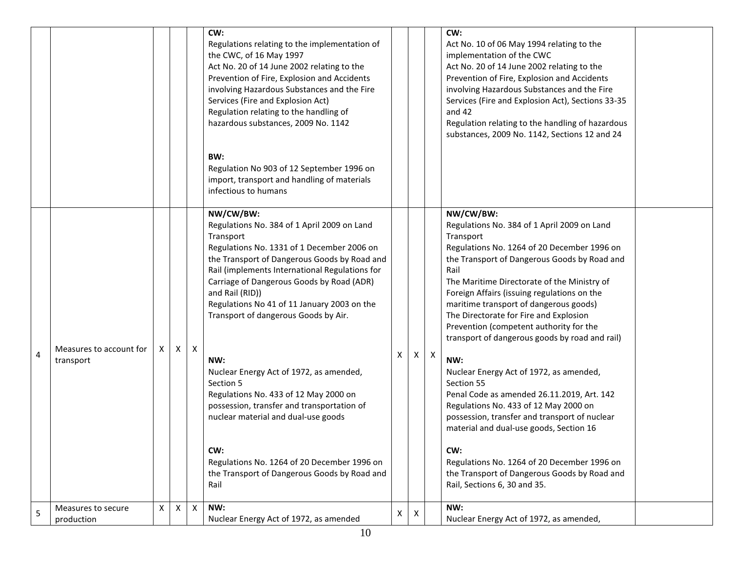|                         |                                      |   |   |                | CW:<br>Regulations relating to the implementation of<br>the CWC, of 16 May 1997<br>Act No. 20 of 14 June 2002 relating to the<br>Prevention of Fire, Explosion and Accidents<br>involving Hazardous Substances and the Fire<br>Services (Fire and Explosion Act)<br>Regulation relating to the handling of<br>hazardous substances, 2009 No. 1142                            |   |              |              | CW:<br>Act No. 10 of 06 May 1994 relating to the<br>implementation of the CWC<br>Act No. 20 of 14 June 2002 relating to the<br>Prevention of Fire, Explosion and Accidents<br>involving Hazardous Substances and the Fire<br>Services (Fire and Explosion Act), Sections 33-35<br>and 42<br>Regulation relating to the handling of hazardous<br>substances, 2009 No. 1142, Sections 12 and 24                                                               |  |
|-------------------------|--------------------------------------|---|---|----------------|------------------------------------------------------------------------------------------------------------------------------------------------------------------------------------------------------------------------------------------------------------------------------------------------------------------------------------------------------------------------------|---|--------------|--------------|-------------------------------------------------------------------------------------------------------------------------------------------------------------------------------------------------------------------------------------------------------------------------------------------------------------------------------------------------------------------------------------------------------------------------------------------------------------|--|
|                         |                                      |   |   |                | BW:<br>Regulation No 903 of 12 September 1996 on<br>import, transport and handling of materials<br>infectious to humans                                                                                                                                                                                                                                                      |   |              |              |                                                                                                                                                                                                                                                                                                                                                                                                                                                             |  |
|                         |                                      |   |   |                | NW/CW/BW:<br>Regulations No. 384 of 1 April 2009 on Land<br>Transport<br>Regulations No. 1331 of 1 December 2006 on<br>the Transport of Dangerous Goods by Road and<br>Rail (implements International Regulations for<br>Carriage of Dangerous Goods by Road (ADR)<br>and Rail (RID))<br>Regulations No 41 of 11 January 2003 on the<br>Transport of dangerous Goods by Air. |   |              |              | NW/CW/BW:<br>Regulations No. 384 of 1 April 2009 on Land<br>Transport<br>Regulations No. 1264 of 20 December 1996 on<br>the Transport of Dangerous Goods by Road and<br>Rail<br>The Maritime Directorate of the Ministry of<br>Foreign Affairs (issuing regulations on the<br>maritime transport of dangerous goods)<br>The Directorate for Fire and Explosion<br>Prevention (competent authority for the<br>transport of dangerous goods by road and rail) |  |
| $\overline{\mathbf{4}}$ | Measures to account for<br>transport |   | X | X              | NW:<br>Nuclear Energy Act of 1972, as amended,<br>Section 5<br>Regulations No. 433 of 12 May 2000 on<br>possession, transfer and transportation of<br>nuclear material and dual-use goods<br>CW:<br>Regulations No. 1264 of 20 December 1996 on<br>the Transport of Dangerous Goods by Road and<br>Rail                                                                      | X | $\mathsf{X}$ | $\mathsf{X}$ | NW:<br>Nuclear Energy Act of 1972, as amended,<br>Section 55<br>Penal Code as amended 26.11.2019, Art. 142<br>Regulations No. 433 of 12 May 2000 on<br>possession, transfer and transport of nuclear<br>material and dual-use goods, Section 16<br>CW:<br>Regulations No. 1264 of 20 December 1996 on<br>the Transport of Dangerous Goods by Road and<br>Rail, Sections 6, 30 and 35.                                                                       |  |
| 5                       | Measures to secure<br>production     | X | X | $\pmb{\times}$ | NW:<br>Nuclear Energy Act of 1972, as amended                                                                                                                                                                                                                                                                                                                                | X | X            |              | NW:<br>Nuclear Energy Act of 1972, as amended,                                                                                                                                                                                                                                                                                                                                                                                                              |  |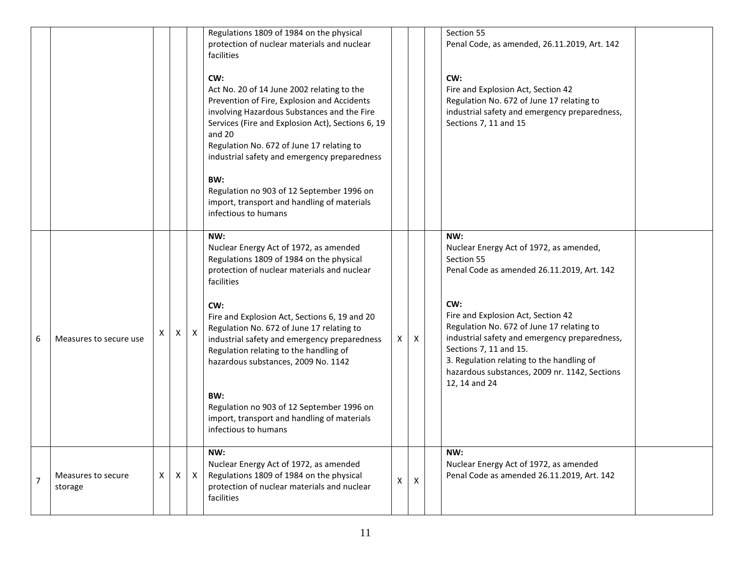|                |                               |   |              |              | Regulations 1809 of 1984 on the physical<br>protection of nuclear materials and nuclear<br>facilities                                                                                                                                                                                                       |   |   | Section 55<br>Penal Code, as amended, 26.11.2019, Art. 142                                                                                                                                                                                                                       |
|----------------|-------------------------------|---|--------------|--------------|-------------------------------------------------------------------------------------------------------------------------------------------------------------------------------------------------------------------------------------------------------------------------------------------------------------|---|---|----------------------------------------------------------------------------------------------------------------------------------------------------------------------------------------------------------------------------------------------------------------------------------|
|                |                               |   |              |              | CW:<br>Act No. 20 of 14 June 2002 relating to the<br>Prevention of Fire, Explosion and Accidents<br>involving Hazardous Substances and the Fire<br>Services (Fire and Explosion Act), Sections 6, 19<br>and 20<br>Regulation No. 672 of June 17 relating to<br>industrial safety and emergency preparedness |   |   | CW:<br>Fire and Explosion Act, Section 42<br>Regulation No. 672 of June 17 relating to<br>industrial safety and emergency preparedness,<br>Sections 7, 11 and 15                                                                                                                 |
|                |                               |   |              |              | BW:<br>Regulation no 903 of 12 September 1996 on<br>import, transport and handling of materials<br>infectious to humans                                                                                                                                                                                     |   |   |                                                                                                                                                                                                                                                                                  |
|                |                               |   |              |              | NW:<br>Nuclear Energy Act of 1972, as amended<br>Regulations 1809 of 1984 on the physical<br>protection of nuclear materials and nuclear<br>facilities                                                                                                                                                      |   |   | NW:<br>Nuclear Energy Act of 1972, as amended,<br>Section 55<br>Penal Code as amended 26.11.2019, Art. 142                                                                                                                                                                       |
| 6              | Measures to secure use        |   | $\mathsf{X}$ | $\mathsf{X}$ | CW:<br>Fire and Explosion Act, Sections 6, 19 and 20<br>Regulation No. 672 of June 17 relating to<br>industrial safety and emergency preparedness<br>Regulation relating to the handling of<br>hazardous substances, 2009 No. 1142                                                                          | X | X | CW:<br>Fire and Explosion Act, Section 42<br>Regulation No. 672 of June 17 relating to<br>industrial safety and emergency preparedness,<br>Sections 7, 11 and 15.<br>3. Regulation relating to the handling of<br>hazardous substances, 2009 nr. 1142, Sections<br>12, 14 and 24 |
|                |                               |   |              |              | BW:<br>Regulation no 903 of 12 September 1996 on<br>import, transport and handling of materials<br>infectious to humans                                                                                                                                                                                     |   |   |                                                                                                                                                                                                                                                                                  |
| $\overline{7}$ | Measures to secure<br>storage | X | X            | $\mathsf{X}$ | NW:<br>Nuclear Energy Act of 1972, as amended<br>Regulations 1809 of 1984 on the physical<br>protection of nuclear materials and nuclear<br>facilities                                                                                                                                                      | X | X | NW:<br>Nuclear Energy Act of 1972, as amended<br>Penal Code as amended 26.11.2019, Art. 142                                                                                                                                                                                      |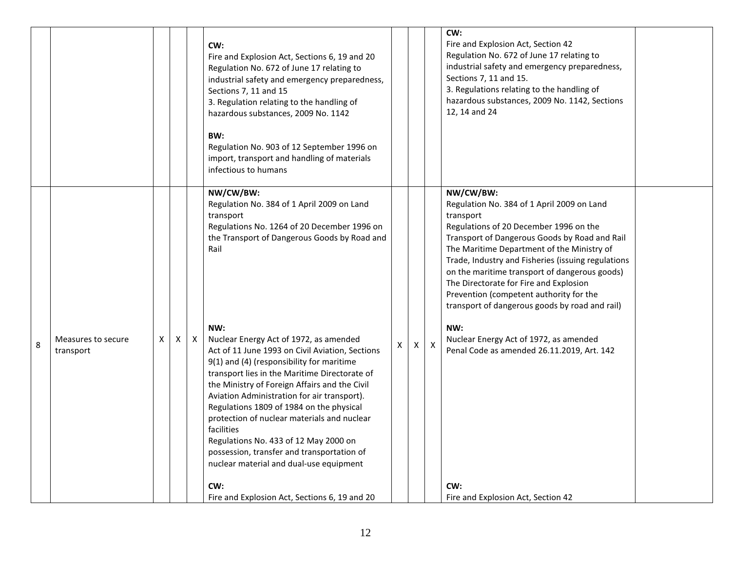|   |                                 |    |   |   | CW:<br>Fire and Explosion Act, Sections 6, 19 and 20<br>Regulation No. 672 of June 17 relating to<br>industrial safety and emergency preparedness,<br>Sections 7, 11 and 15<br>3. Regulation relating to the handling of<br>hazardous substances, 2009 No. 1142<br>BW:<br>Regulation No. 903 of 12 September 1996 on<br>import, transport and handling of materials<br>infectious to humans                                                                                                                                                                                                       |   |   |              | CW:<br>Fire and Explosion Act, Section 42<br>Regulation No. 672 of June 17 relating to<br>industrial safety and emergency preparedness,<br>Sections 7, 11 and 15.<br>3. Regulations relating to the handling of<br>hazardous substances, 2009 No. 1142, Sections<br>12, 14 and 24                                                                                                                                                                           |  |
|---|---------------------------------|----|---|---|---------------------------------------------------------------------------------------------------------------------------------------------------------------------------------------------------------------------------------------------------------------------------------------------------------------------------------------------------------------------------------------------------------------------------------------------------------------------------------------------------------------------------------------------------------------------------------------------------|---|---|--------------|-------------------------------------------------------------------------------------------------------------------------------------------------------------------------------------------------------------------------------------------------------------------------------------------------------------------------------------------------------------------------------------------------------------------------------------------------------------|--|
|   |                                 |    |   |   | NW/CW/BW:<br>Regulation No. 384 of 1 April 2009 on Land<br>transport<br>Regulations No. 1264 of 20 December 1996 on<br>the Transport of Dangerous Goods by Road and<br>Rail                                                                                                                                                                                                                                                                                                                                                                                                                       |   |   |              | NW/CW/BW:<br>Regulation No. 384 of 1 April 2009 on Land<br>transport<br>Regulations of 20 December 1996 on the<br>Transport of Dangerous Goods by Road and Rail<br>The Maritime Department of the Ministry of<br>Trade, Industry and Fisheries (issuing regulations<br>on the maritime transport of dangerous goods)<br>The Directorate for Fire and Explosion<br>Prevention (competent authority for the<br>transport of dangerous goods by road and rail) |  |
| 8 | Measures to secure<br>transport | X. | X | X | NW:<br>Nuclear Energy Act of 1972, as amended<br>Act of 11 June 1993 on Civil Aviation, Sections<br>9(1) and (4) (responsibility for maritime<br>transport lies in the Maritime Directorate of<br>the Ministry of Foreign Affairs and the Civil<br>Aviation Administration for air transport).<br>Regulations 1809 of 1984 on the physical<br>protection of nuclear materials and nuclear<br>facilities<br>Regulations No. 433 of 12 May 2000 on<br>possession, transfer and transportation of<br>nuclear material and dual-use equipment<br>CW:<br>Fire and Explosion Act, Sections 6, 19 and 20 | X | X | $\mathsf{X}$ | NW:<br>Nuclear Energy Act of 1972, as amended<br>Penal Code as amended 26.11.2019, Art. 142<br>CW:<br>Fire and Explosion Act, Section 42                                                                                                                                                                                                                                                                                                                    |  |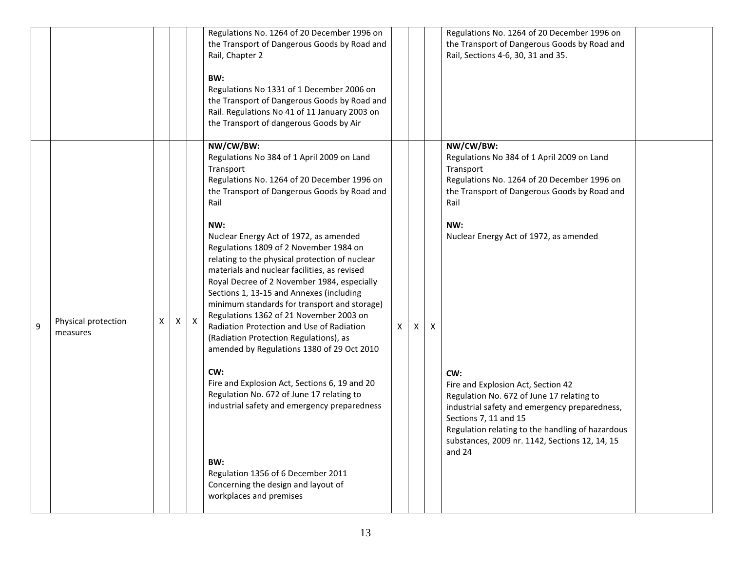|   |                                 |   |              |              | Regulations No. 1264 of 20 December 1996 on<br>the Transport of Dangerous Goods by Road and<br>Rail, Chapter 2<br>BW:<br>Regulations No 1331 of 1 December 2006 on<br>the Transport of Dangerous Goods by Road and<br>Rail. Regulations No 41 of 11 January 2003 on<br>the Transport of dangerous Goods by Air                                                                                                                                                                                                                                                                                                                                                                                                                                                                                                                                                                                                                                                          |   |   | Regulations No. 1264 of 20 December 1996 on<br>the Transport of Dangerous Goods by Road and<br>Rail, Sections 4-6, 30, 31 and 35.                                                                                                                                                                                                                                                                                                                                                                                |  |
|---|---------------------------------|---|--------------|--------------|-------------------------------------------------------------------------------------------------------------------------------------------------------------------------------------------------------------------------------------------------------------------------------------------------------------------------------------------------------------------------------------------------------------------------------------------------------------------------------------------------------------------------------------------------------------------------------------------------------------------------------------------------------------------------------------------------------------------------------------------------------------------------------------------------------------------------------------------------------------------------------------------------------------------------------------------------------------------------|---|---|------------------------------------------------------------------------------------------------------------------------------------------------------------------------------------------------------------------------------------------------------------------------------------------------------------------------------------------------------------------------------------------------------------------------------------------------------------------------------------------------------------------|--|
| 9 | Physical protection<br>measures | X | $\mathsf{X}$ | $\mathsf{X}$ | NW/CW/BW:<br>Regulations No 384 of 1 April 2009 on Land<br>Transport<br>Regulations No. 1264 of 20 December 1996 on<br>the Transport of Dangerous Goods by Road and<br>Rail<br>NW:<br>Nuclear Energy Act of 1972, as amended<br>Regulations 1809 of 2 November 1984 on<br>relating to the physical protection of nuclear<br>materials and nuclear facilities, as revised<br>Royal Decree of 2 November 1984, especially<br>Sections 1, 13-15 and Annexes (including<br>minimum standards for transport and storage)<br>Regulations 1362 of 21 November 2003 on<br>Radiation Protection and Use of Radiation<br>(Radiation Protection Regulations), as<br>amended by Regulations 1380 of 29 Oct 2010<br>CW:<br>Fire and Explosion Act, Sections 6, 19 and 20<br>Regulation No. 672 of June 17 relating to<br>industrial safety and emergency preparedness<br>BW:<br>Regulation 1356 of 6 December 2011<br>Concerning the design and layout of<br>workplaces and premises | X | X | NW/CW/BW:<br>Regulations No 384 of 1 April 2009 on Land<br>Transport<br>Regulations No. 1264 of 20 December 1996 on<br>the Transport of Dangerous Goods by Road and<br>Rail<br>NW:<br>Nuclear Energy Act of 1972, as amended<br>CW:<br>Fire and Explosion Act, Section 42<br>Regulation No. 672 of June 17 relating to<br>industrial safety and emergency preparedness,<br>Sections 7, 11 and 15<br>Regulation relating to the handling of hazardous<br>substances, 2009 nr. 1142, Sections 12, 14, 15<br>and 24 |  |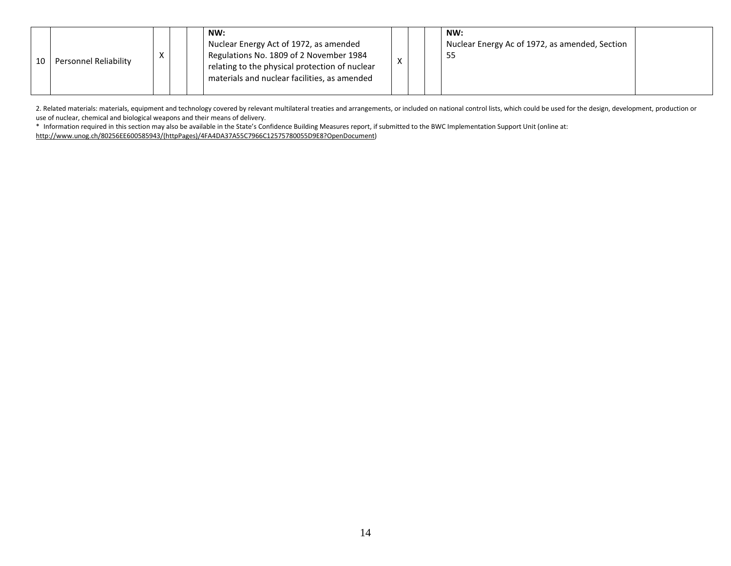| NW:<br>Nuclear Energy Act of 1972, as amended<br>Regulations No. 1809 of 2 November 1984<br>$\checkmark$<br>$\Lambda$<br>Personnel Reliability<br>10<br>relating to the physical protection of nuclear<br>materials and nuclear facilities, as amended |  |  | NW:<br>Nuclear Energy Ac of 1972, as amended, Section<br>55 |  |
|--------------------------------------------------------------------------------------------------------------------------------------------------------------------------------------------------------------------------------------------------------|--|--|-------------------------------------------------------------|--|
|--------------------------------------------------------------------------------------------------------------------------------------------------------------------------------------------------------------------------------------------------------|--|--|-------------------------------------------------------------|--|

2. Related materials: materials, equipment and technology covered by relevant multilateral treaties and arrangements, or included on national control lists, which could be used for the design, development, production or use of nuclear, chemical and biological weapons and their means of delivery.

 \* Information required in this section may also be available in the State's Confidence Building Measures report, if submitted to the BWC Implementation Support Unit (online at: http://www.unog.ch/80256EE600585943/(httpPages)/4FA4DA37A55C7966C12575780055D9E8?OpenDocument)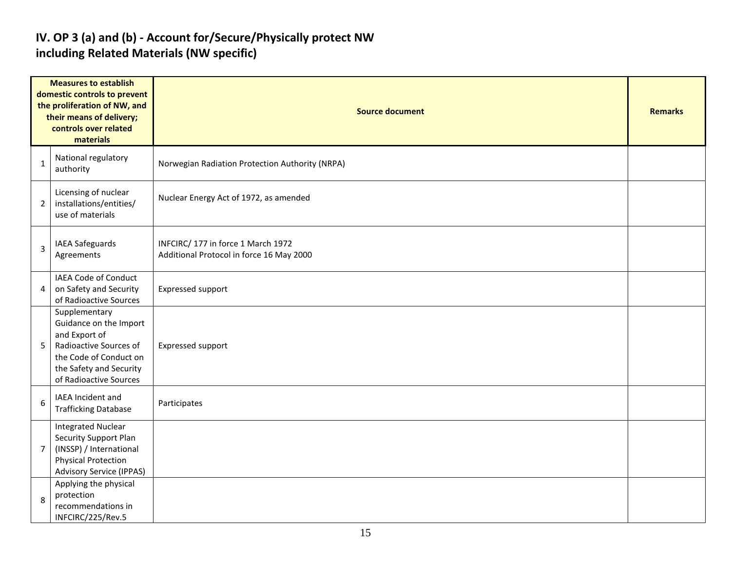### IV. OP 3 (a) and (b) - Account for/Secure/Physically protect NW including Related Materials (NW specific)

| <b>Measures to establish</b><br>domestic controls to prevent<br>the proliferation of NW, and<br>their means of delivery;<br>controls over related<br>materials |                                                                                                                                                                   | <b>Source document</b>                                                         |  |  |  |  |  |  |
|----------------------------------------------------------------------------------------------------------------------------------------------------------------|-------------------------------------------------------------------------------------------------------------------------------------------------------------------|--------------------------------------------------------------------------------|--|--|--|--|--|--|
| 1                                                                                                                                                              | National regulatory<br>authority                                                                                                                                  | Norwegian Radiation Protection Authority (NRPA)                                |  |  |  |  |  |  |
| $\overline{2}$                                                                                                                                                 | Licensing of nuclear<br>installations/entities/<br>use of materials                                                                                               | Nuclear Energy Act of 1972, as amended                                         |  |  |  |  |  |  |
| 3                                                                                                                                                              | IAEA Safeguards<br>Agreements                                                                                                                                     | INFCIRC/ 177 in force 1 March 1972<br>Additional Protocol in force 16 May 2000 |  |  |  |  |  |  |
| 4                                                                                                                                                              | IAEA Code of Conduct<br>on Safety and Security<br>of Radioactive Sources                                                                                          | Expressed support                                                              |  |  |  |  |  |  |
| 5                                                                                                                                                              | Supplementary<br>Guidance on the Import<br>and Export of<br>Radioactive Sources of<br>the Code of Conduct on<br>the Safety and Security<br>of Radioactive Sources | Expressed support                                                              |  |  |  |  |  |  |
| 6                                                                                                                                                              | IAEA Incident and<br><b>Trafficking Database</b>                                                                                                                  | Participates                                                                   |  |  |  |  |  |  |
| $\overline{7}$                                                                                                                                                 | <b>Integrated Nuclear</b><br>Security Support Plan<br>(INSSP) / International<br><b>Physical Protection</b><br><b>Advisory Service (IPPAS)</b>                    |                                                                                |  |  |  |  |  |  |
| 8                                                                                                                                                              | Applying the physical<br>protection<br>recommendations in<br>INFCIRC/225/Rev.5                                                                                    |                                                                                |  |  |  |  |  |  |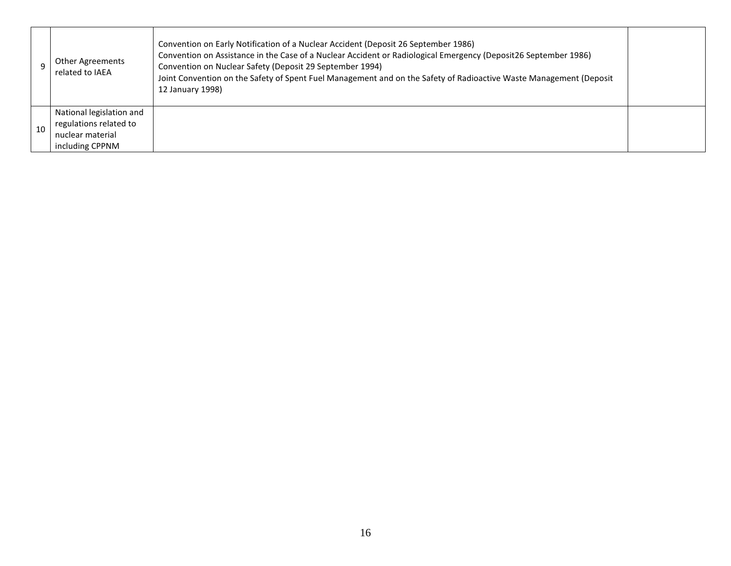|    | Other Agreements<br>related to IAEA                                                       | Convention on Early Notification of a Nuclear Accident (Deposit 26 September 1986)<br>Convention on Assistance in the Case of a Nuclear Accident or Radiological Emergency (Deposit26 September 1986)<br>Convention on Nuclear Safety (Deposit 29 September 1994)<br>Joint Convention on the Safety of Spent Fuel Management and on the Safety of Radioactive Waste Management (Deposit<br>12 January 1998) |  |
|----|-------------------------------------------------------------------------------------------|-------------------------------------------------------------------------------------------------------------------------------------------------------------------------------------------------------------------------------------------------------------------------------------------------------------------------------------------------------------------------------------------------------------|--|
| 10 | National legislation and<br>regulations related to<br>nuclear material<br>including CPPNM |                                                                                                                                                                                                                                                                                                                                                                                                             |  |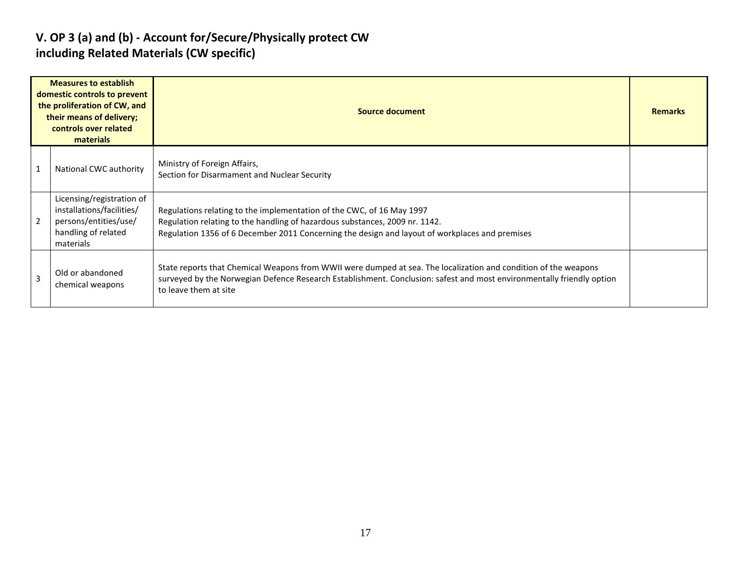### V. OP 3 (a) and (b) - Account for/Secure/Physically protect CW including Related Materials (CW specific)

| <b>Measures to establish</b><br>domestic controls to prevent<br>the proliferation of CW, and<br>their means of delivery;<br>controls over related<br>materials |                                                                                                                     | Source document                                                                                                                                                                                                                                                   | <b>Remarks</b> |
|----------------------------------------------------------------------------------------------------------------------------------------------------------------|---------------------------------------------------------------------------------------------------------------------|-------------------------------------------------------------------------------------------------------------------------------------------------------------------------------------------------------------------------------------------------------------------|----------------|
|                                                                                                                                                                | National CWC authority                                                                                              | Ministry of Foreign Affairs,<br>Section for Disarmament and Nuclear Security                                                                                                                                                                                      |                |
|                                                                                                                                                                | Licensing/registration of<br>installations/facilities/<br>persons/entities/use/<br>handling of related<br>materials | Regulations relating to the implementation of the CWC, of 16 May 1997<br>Regulation relating to the handling of hazardous substances, 2009 nr. 1142.<br>Regulation 1356 of 6 December 2011 Concerning the design and layout of workplaces and premises            |                |
| 3                                                                                                                                                              | Old or abandoned<br>chemical weapons                                                                                | State reports that Chemical Weapons from WWII were dumped at sea. The localization and condition of the weapons<br>surveyed by the Norwegian Defence Research Establishment. Conclusion: safest and most environmentally friendly option<br>to leave them at site |                |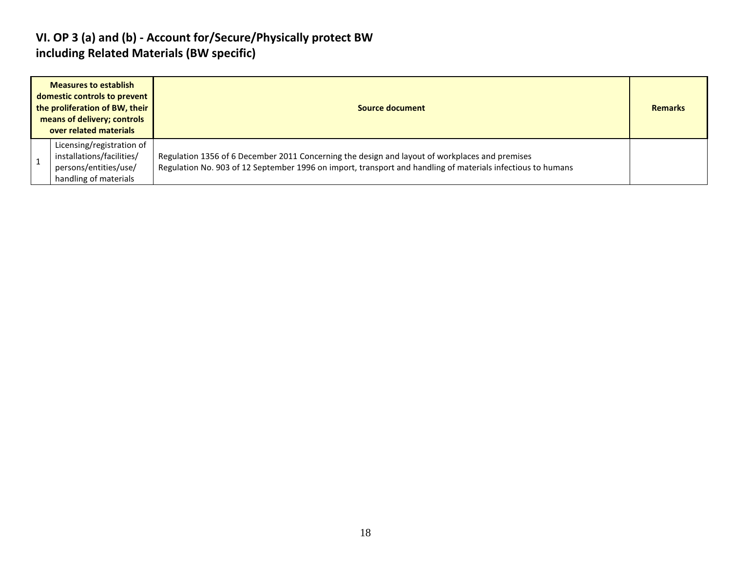#### VI. OP 3 (a) and (b) - Account for/Secure/Physically protect BW including Related Materials (BW specific)

| <b>Measures to establish</b><br>domestic controls to prevent<br>the proliferation of BW, their<br>means of delivery; controls<br>over related materials | Source document                                                                                                                                                                                               |  |  |  |  |
|---------------------------------------------------------------------------------------------------------------------------------------------------------|---------------------------------------------------------------------------------------------------------------------------------------------------------------------------------------------------------------|--|--|--|--|
| Licensing/registration of<br>installations/facilities/<br>persons/entities/use/<br>handling of materials                                                | Regulation 1356 of 6 December 2011 Concerning the design and layout of workplaces and premises<br>Regulation No. 903 of 12 September 1996 on import, transport and handling of materials infectious to humans |  |  |  |  |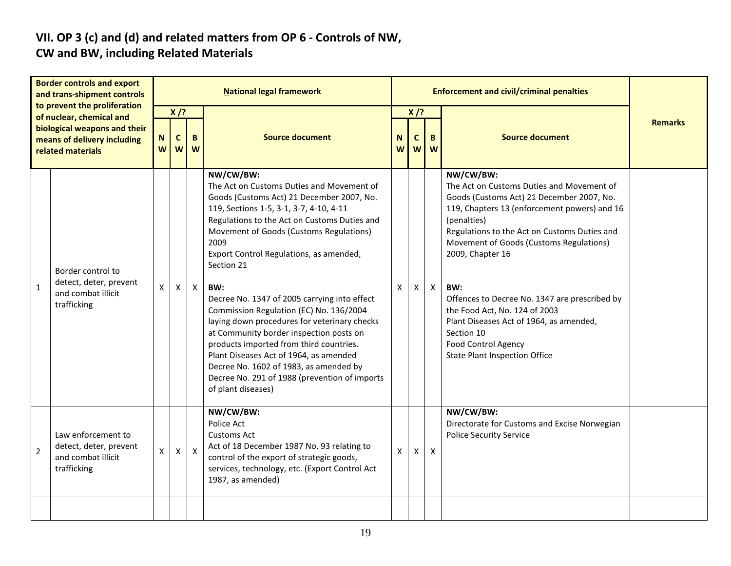# VII. OP 3 (c) and (d) and related matters from OP 6 - Controls of NW,

#### CW and BW, including Related Materials

| <b>Border controls and export</b><br>and trans-shipment controls<br>to prevent the proliferation<br>of nuclear, chemical and<br>biological weapons and their<br>means of delivery including<br>related materials |                                                                                   | <b>National legal framework</b> |                                      |              |                                                                                                                                                                                                                                                                                                                                                                                                                                                                                                                                                                                                                                                                                                               |        |                            | <b>Enforcement and civil/criminal penalties</b> |                                                                                                                                                                                                                                                                                                                                                                                                                                                                                                           |                |
|------------------------------------------------------------------------------------------------------------------------------------------------------------------------------------------------------------------|-----------------------------------------------------------------------------------|---------------------------------|--------------------------------------|--------------|---------------------------------------------------------------------------------------------------------------------------------------------------------------------------------------------------------------------------------------------------------------------------------------------------------------------------------------------------------------------------------------------------------------------------------------------------------------------------------------------------------------------------------------------------------------------------------------------------------------------------------------------------------------------------------------------------------------|--------|----------------------------|-------------------------------------------------|-----------------------------------------------------------------------------------------------------------------------------------------------------------------------------------------------------------------------------------------------------------------------------------------------------------------------------------------------------------------------------------------------------------------------------------------------------------------------------------------------------------|----------------|
|                                                                                                                                                                                                                  |                                                                                   | $\mathsf N$<br>W                | $X$ /?<br>$\mathbf c$<br>B<br>W<br>W |              | <b>Source document</b>                                                                                                                                                                                                                                                                                                                                                                                                                                                                                                                                                                                                                                                                                        | N<br>W | $X$ /?<br>$\mathbf c$<br>W | B<br>W                                          | <b>Source document</b>                                                                                                                                                                                                                                                                                                                                                                                                                                                                                    | <b>Remarks</b> |
| $\mathbf{1}$                                                                                                                                                                                                     | Border control to<br>detect, deter, prevent<br>and combat illicit<br>trafficking  | Χ                               | $\mathsf{X}$                         | $\mathsf{X}$ | NW/CW/BW:<br>The Act on Customs Duties and Movement of<br>Goods (Customs Act) 21 December 2007, No.<br>119, Sections 1-5, 3-1, 3-7, 4-10, 4-11<br>Regulations to the Act on Customs Duties and<br>Movement of Goods (Customs Regulations)<br>2009<br>Export Control Regulations, as amended,<br>Section 21<br>BW:<br>Decree No. 1347 of 2005 carrying into effect<br>Commission Regulation (EC) No. 136/2004<br>laying down procedures for veterinary checks<br>at Community border inspection posts on<br>products imported from third countries.<br>Plant Diseases Act of 1964, as amended<br>Decree No. 1602 of 1983, as amended by<br>Decree No. 291 of 1988 (prevention of imports<br>of plant diseases) | X.     | X.                         | $\mathsf{X}$                                    | NW/CW/BW:<br>The Act on Customs Duties and Movement of<br>Goods (Customs Act) 21 December 2007, No.<br>119, Chapters 13 (enforcement powers) and 16<br>(penalties)<br>Regulations to the Act on Customs Duties and<br>Movement of Goods (Customs Regulations)<br>2009, Chapter 16<br>BW:<br>Offences to Decree No. 1347 are prescribed by<br>the Food Act, No. 124 of 2003<br>Plant Diseases Act of 1964, as amended,<br>Section 10<br><b>Food Control Agency</b><br><b>State Plant Inspection Office</b> |                |
| $\overline{2}$                                                                                                                                                                                                   | Law enforcement to<br>detect, deter, prevent<br>and combat illicit<br>trafficking | $\boldsymbol{\mathsf{X}}$       | $\mathsf{X}$                         | $\mathsf{X}$ | NW/CW/BW:<br>Police Act<br>Customs Act<br>Act of 18 December 1987 No. 93 relating to<br>control of the export of strategic goods,<br>services, technology, etc. (Export Control Act<br>1987, as amended)                                                                                                                                                                                                                                                                                                                                                                                                                                                                                                      | X      | $\mathsf{X}$               | $\mathsf{X}$                                    | NW/CW/BW:<br>Directorate for Customs and Excise Norwegian<br><b>Police Security Service</b>                                                                                                                                                                                                                                                                                                                                                                                                               |                |
|                                                                                                                                                                                                                  |                                                                                   |                                 |                                      |              |                                                                                                                                                                                                                                                                                                                                                                                                                                                                                                                                                                                                                                                                                                               |        |                            |                                                 |                                                                                                                                                                                                                                                                                                                                                                                                                                                                                                           |                |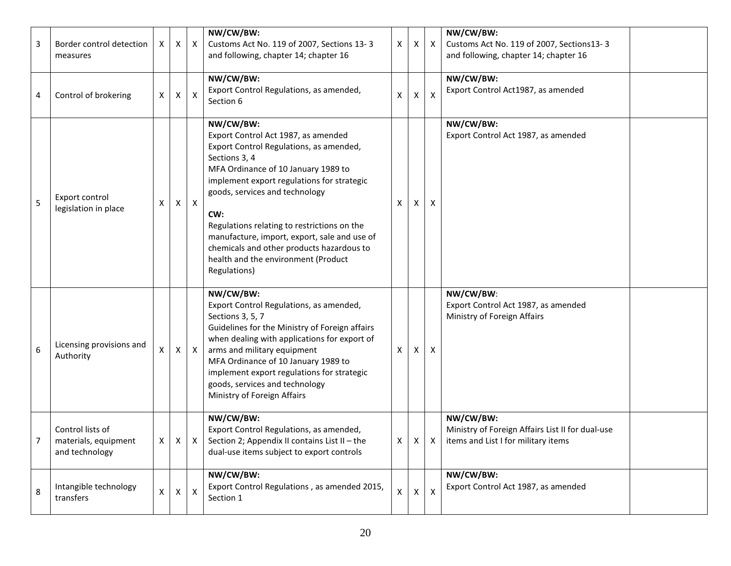| 3 | Border control detection<br>measures                       | X              | X              | $\mathsf{X}$ | NW/CW/BW:<br>Customs Act No. 119 of 2007, Sections 13-3<br>and following, chapter 14; chapter 16                                                                                                                                                                                                                                                                                                                                              | X            | X            | X                         | NW/CW/BW:<br>Customs Act No. 119 of 2007, Sections13-3<br>and following, chapter 14; chapter 16                          |  |
|---|------------------------------------------------------------|----------------|----------------|--------------|-----------------------------------------------------------------------------------------------------------------------------------------------------------------------------------------------------------------------------------------------------------------------------------------------------------------------------------------------------------------------------------------------------------------------------------------------|--------------|--------------|---------------------------|--------------------------------------------------------------------------------------------------------------------------|--|
| 4 | Control of brokering                                       | Χ              | X              | X            | NW/CW/BW:<br>Export Control Regulations, as amended,<br>Section 6                                                                                                                                                                                                                                                                                                                                                                             | X            | X.           | $\boldsymbol{\mathsf{x}}$ | NW/CW/BW:<br>Export Control Act1987, as amended                                                                          |  |
| 5 | Export control<br>legislation in place                     | X              | X              | $\mathsf{X}$ | NW/CW/BW:<br>Export Control Act 1987, as amended<br>Export Control Regulations, as amended,<br>Sections 3, 4<br>MFA Ordinance of 10 January 1989 to<br>implement export regulations for strategic<br>goods, services and technology<br>CW:<br>Regulations relating to restrictions on the<br>manufacture, import, export, sale and use of<br>chemicals and other products hazardous to<br>health and the environment (Product<br>Regulations) | X            | X            | X                         | NW/CW/BW:<br>Export Control Act 1987, as amended                                                                         |  |
| 6 | Licensing provisions and<br>Authority                      | X              | X              | $\mathsf{X}$ | NW/CW/BW:<br>Export Control Regulations, as amended,<br>Sections 3, 5, 7<br>Guidelines for the Ministry of Foreign affairs<br>when dealing with applications for export of<br>arms and military equipment<br>MFA Ordinance of 10 January 1989 to<br>implement export regulations for strategic<br>goods, services and technology<br>Ministry of Foreign Affairs                                                                               | X            | X.           | X                         | NW/CW/BW:<br>Export Control Act 1987, as amended<br>Ministry of Foreign Affairs                                          |  |
|   | Control lists of<br>materials, equipment<br>and technology | $\mathsf{X}^-$ |                | $X \mid X$   | NW/CW/BW:<br>Export Control Regulations, as amended,<br>Section 2; Appendix II contains List II - the<br>dual-use items subject to export controls                                                                                                                                                                                                                                                                                            | X            |              |                           | NW/CW/BW:<br>Ministry of Foreign Affairs List II for dual-use<br>$\vert$ X $\vert$ X items and List I for military items |  |
| 8 | Intangible technology<br>transfers                         | X              | $\pmb{\times}$ | $\mathsf{X}$ | NW/CW/BW:<br>Export Control Regulations, as amended 2015,<br>Section 1                                                                                                                                                                                                                                                                                                                                                                        | $\mathsf{X}$ | $\mathsf{X}$ | $\pmb{\mathsf{X}}$        | NW/CW/BW:<br>Export Control Act 1987, as amended                                                                         |  |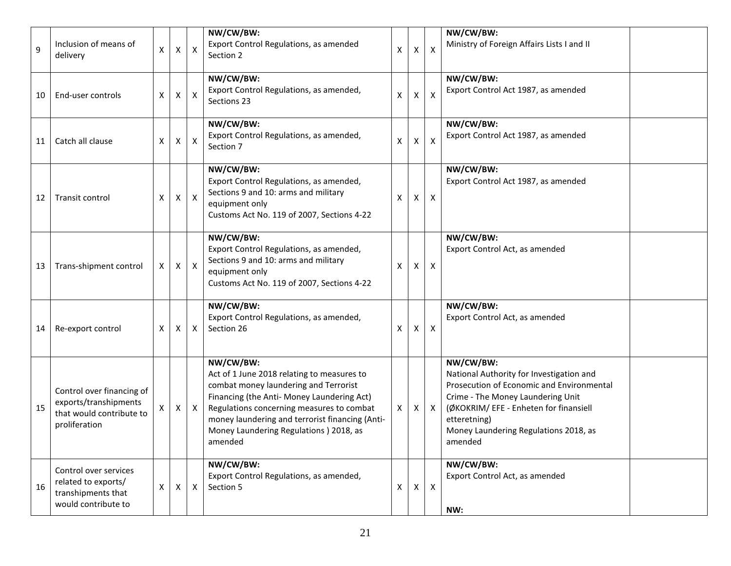| 9  | Inclusion of means of<br>delivery                                                               | Χ | $\pmb{\mathsf{X}}$ | X                         | NW/CW/BW:<br>Export Control Regulations, as amended<br>Section 2                                                                                                                                                                                                                                     | X  | x | $\boldsymbol{\mathsf{X}}$ | NW/CW/BW:<br>Ministry of Foreign Affairs Lists I and II                                                                                                                                                                                               |
|----|-------------------------------------------------------------------------------------------------|---|--------------------|---------------------------|------------------------------------------------------------------------------------------------------------------------------------------------------------------------------------------------------------------------------------------------------------------------------------------------------|----|---|---------------------------|-------------------------------------------------------------------------------------------------------------------------------------------------------------------------------------------------------------------------------------------------------|
| 10 | End-user controls                                                                               | Χ | X                  | X                         | NW/CW/BW:<br>Export Control Regulations, as amended,<br>Sections 23                                                                                                                                                                                                                                  | х  | х | X                         | NW/CW/BW:<br>Export Control Act 1987, as amended                                                                                                                                                                                                      |
| 11 | Catch all clause                                                                                | X | X                  | $\boldsymbol{\mathsf{X}}$ | NW/CW/BW:<br>Export Control Regulations, as amended,<br>Section 7                                                                                                                                                                                                                                    | х  | х | $\boldsymbol{\mathsf{X}}$ | NW/CW/BW:<br>Export Control Act 1987, as amended                                                                                                                                                                                                      |
| 12 | Transit control                                                                                 | X | X                  | $\mathsf{X}$              | NW/CW/BW:<br>Export Control Regulations, as amended,<br>Sections 9 and 10: arms and military<br>equipment only<br>Customs Act No. 119 of 2007, Sections 4-22                                                                                                                                         | X  | X | $\boldsymbol{X}$          | NW/CW/BW:<br>Export Control Act 1987, as amended                                                                                                                                                                                                      |
| 13 | Trans-shipment control                                                                          | Χ | X                  | $\mathsf{X}$              | NW/CW/BW:<br>Export Control Regulations, as amended,<br>Sections 9 and 10: arms and military<br>equipment only<br>Customs Act No. 119 of 2007, Sections 4-22                                                                                                                                         | х  | X | $\boldsymbol{X}$          | NW/CW/BW:<br>Export Control Act, as amended                                                                                                                                                                                                           |
| 14 | Re-export control                                                                               | X | X                  | X                         | NW/CW/BW:<br>Export Control Regulations, as amended,<br>Section 26                                                                                                                                                                                                                                   | X  | X | $\boldsymbol{X}$          | NW/CW/BW:<br>Export Control Act, as amended                                                                                                                                                                                                           |
| 15 | Control over financing of<br>exports/transhipments<br>that would contribute to<br>proliferation | X | X                  | X                         | NW/CW/BW:<br>Act of 1 June 2018 relating to measures to<br>combat money laundering and Terrorist<br>Financing (the Anti- Money Laundering Act)<br>Regulations concerning measures to combat<br>money laundering and terrorist financing (Anti-<br>Money Laundering Regulations ) 2018, as<br>amended | X. | X | $\mathsf{X}$              | NW/CW/BW:<br>National Authority for Investigation and<br>Prosecution of Economic and Environmental<br>Crime - The Money Laundering Unit<br>(ØKOKRIM/ EFE - Enheten for finansiell<br>etteretning)<br>Money Laundering Regulations 2018, as<br>amended |
| 16 | Control over services<br>related to exports/<br>transhipments that<br>would contribute to       | Χ | X                  | $\mathsf{X}$              | NW/CW/BW:<br>Export Control Regulations, as amended,<br>Section 5                                                                                                                                                                                                                                    | X  | Χ | $\mathsf{X}$              | NW/CW/BW:<br>Export Control Act, as amended<br>NW:                                                                                                                                                                                                    |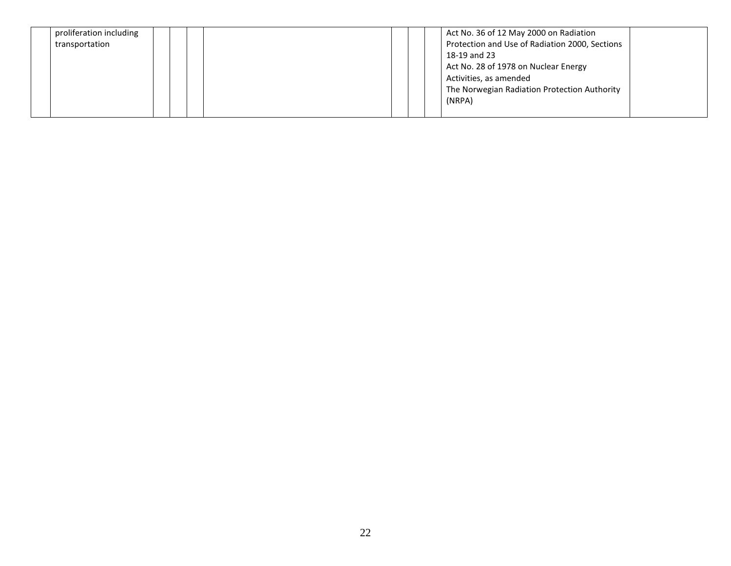| proliferation including |  |  |  | Act No. 36 of 12 May 2000 on Radiation         |  |
|-------------------------|--|--|--|------------------------------------------------|--|
| transportation          |  |  |  | Protection and Use of Radiation 2000, Sections |  |
|                         |  |  |  | 18-19 and 23                                   |  |
|                         |  |  |  | Act No. 28 of 1978 on Nuclear Energy           |  |
|                         |  |  |  | Activities, as amended                         |  |
|                         |  |  |  | The Norwegian Radiation Protection Authority   |  |
|                         |  |  |  | (NRPA)                                         |  |
|                         |  |  |  |                                                |  |